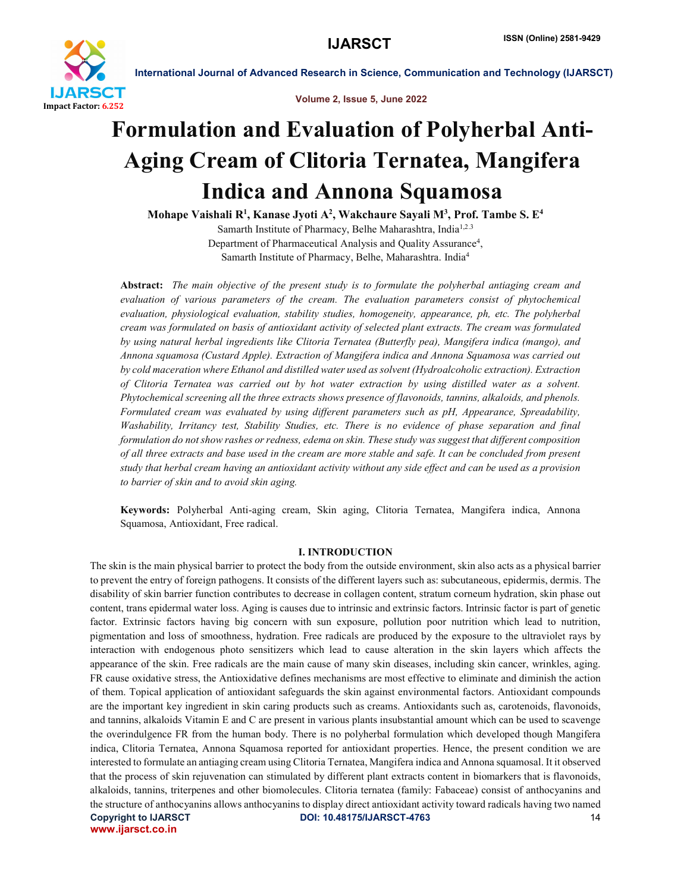

Volume 2, Issue 5, June 2022

# Formulation and Evaluation of Polyherbal Anti-Aging Cream of Clitoria Ternatea, Mangifera Indica and Annona Squamosa

Mohape Vaishali R<sup>1</sup>, Kanase Jyoti A<sup>2</sup>, Wakchaure Sayali M<sup>3</sup>, Prof. Tambe S. E<sup>4</sup> Samarth Institute of Pharmacy, Belhe Maharashtra, India1,2.3 Department of Pharmaceutical Analysis and Quality Assurance<sup>4</sup>, Samarth Institute of Pharmacy, Belhe, Maharashtra. India4

Abstract: *The main objective of the present study is to formulate the polyherbal antiaging cream and evaluation of various parameters of the cream. The evaluation parameters consist of phytochemical evaluation, physiological evaluation, stability studies, homogeneity, appearance, ph, etc. The polyherbal cream was formulated on basis of antioxidant activity of selected plant extracts. The cream was formulated by using natural herbal ingredients like Clitoria Ternatea (Butterfly pea), Mangifera indica (mango), and Annona squamosa (Custard Apple). Extraction of Mangifera indica and Annona Squamosa was carried out by cold maceration where Ethanol and distilled water used as solvent (Hydroalcoholic extraction). Extraction of Clitoria Ternatea was carried out by hot water extraction by using distilled water as a solvent. Phytochemical screening all the three extracts shows presence of flavonoids, tannins, alkaloids, and phenols. Formulated cream was evaluated by using different parameters such as pH, Appearance, Spreadability, Washability, Irritancy test, Stability Studies, etc. There is no evidence of phase separation and final formulation do not show rashes or redness, edema on skin. These study was suggest that different composition of all three extracts and base used in the cream are more stable and safe. It can be concluded from present study that herbal cream having an antioxidant activity without any side effect and can be used as a provision to barrier of skin and to avoid skin aging.*

Keywords: Polyherbal Anti-aging cream, Skin aging, Clitoria Ternatea, Mangifera indica, Annona Squamosa, Antioxidant, Free radical.

#### I. INTRODUCTION

Copyright to IJARSCT **DOI: 10.48175/IJARSCT-4763** 14 www.ijarsct.co.in The skin is the main physical barrier to protect the body from the outside environment, skin also acts as a physical barrier to prevent the entry of foreign pathogens. It consists of the different layers such as: subcutaneous, epidermis, dermis. The disability of skin barrier function contributes to decrease in collagen content, stratum corneum hydration, skin phase out content, trans epidermal water loss. Aging is causes due to intrinsic and extrinsic factors. Intrinsic factor is part of genetic factor. Extrinsic factors having big concern with sun exposure, pollution poor nutrition which lead to nutrition, pigmentation and loss of smoothness, hydration. Free radicals are produced by the exposure to the ultraviolet rays by interaction with endogenous photo sensitizers which lead to cause alteration in the skin layers which affects the appearance of the skin. Free radicals are the main cause of many skin diseases, including skin cancer, wrinkles, aging. FR cause oxidative stress, the Antioxidative defines mechanisms are most effective to eliminate and diminish the action of them. Topical application of antioxidant safeguards the skin against environmental factors. Antioxidant compounds are the important key ingredient in skin caring products such as creams. Antioxidants such as, carotenoids, flavonoids, and tannins, alkaloids Vitamin E and C are present in various plants insubstantial amount which can be used to scavenge the overindulgence FR from the human body. There is no polyherbal formulation which developed though Mangifera indica, Clitoria Ternatea, Annona Squamosa reported for antioxidant properties. Hence, the present condition we are interested to formulate an antiaging cream using Clitoria Ternatea, Mangifera indica and Annona squamosal. It it observed that the process of skin rejuvenation can stimulated by different plant extracts content in biomarkers that is flavonoids, alkaloids, tannins, triterpenes and other biomolecules. Clitoria ternatea (family: Fabaceae) consist of anthocyanins and the structure of anthocyanins allows anthocyanins to display direct antioxidant activity toward radicals having two named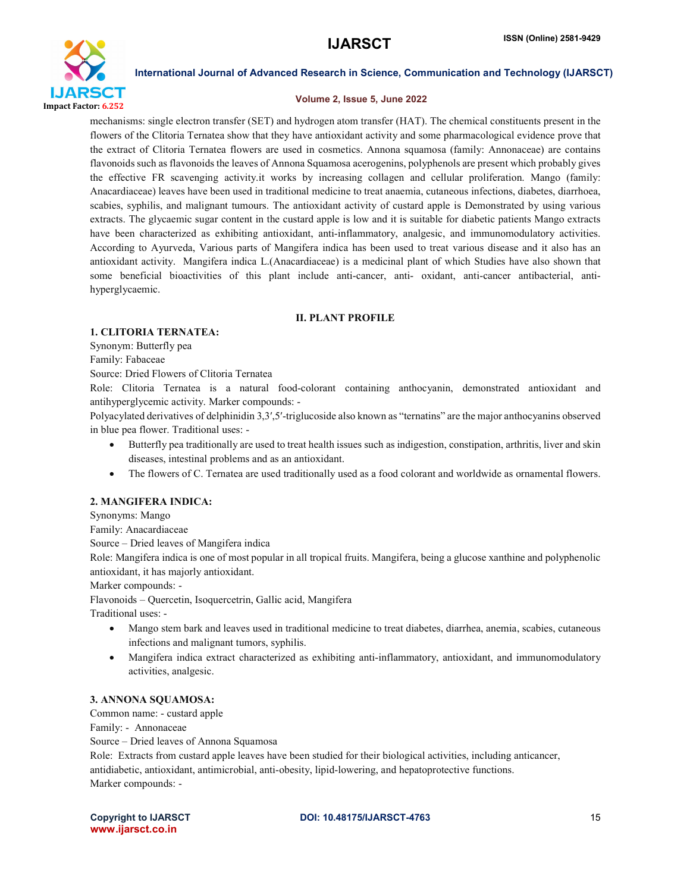

#### Volume 2, Issue 5, June 2022

mechanisms: single electron transfer (SET) and hydrogen atom transfer (HAT). The chemical constituents present in the flowers of the Clitoria Ternatea show that they have antioxidant activity and some pharmacological evidence prove that the extract of Clitoria Ternatea flowers are used in cosmetics. Annona squamosa (family: Annonaceae) are contains flavonoids such as flavonoids the leaves of Annona Squamosa acerogenins, polyphenols are present which probably gives the effective FR scavenging activity.it works by increasing collagen and cellular proliferation. Mango (family: Anacardiaceae) leaves have been used in traditional medicine to treat anaemia, cutaneous infections, diabetes, diarrhoea, scabies, syphilis, and malignant tumours. The antioxidant activity of custard apple is Demonstrated by using various extracts. The glycaemic sugar content in the custard apple is low and it is suitable for diabetic patients Mango extracts have been characterized as exhibiting antioxidant, anti-inflammatory, analgesic, and immunomodulatory activities. According to Ayurveda, Various parts of Mangifera indica has been used to treat various disease and it also has an antioxidant activity. Mangifera indica L.(Anacardiaceae) is a medicinal plant of which Studies have also shown that some beneficial bioactivities of this plant include anti-cancer, anti- oxidant, anti-cancer antibacterial, antihyperglycaemic.

#### II. PLANT PROFILE

### 1. CLITORIA TERNATEA:

Synonym: Butterfly pea

Family: Fabaceae

Source: Dried Flowers of Clitoria Ternatea

Role: Clitoria Ternatea is a natural food-colorant containing anthocyanin, demonstrated antioxidant and antihyperglycemic activity. Marker compounds: -

Polyacylated derivatives of delphinidin 3,3′,5′-triglucoside also known as "ternatins" are the major anthocyanins observed in blue pea flower. Traditional uses: -

- Butterfly pea traditionally are used to treat health issues such as indigestion, constipation, arthritis, liver and skin diseases, intestinal problems and as an antioxidant.
- The flowers of C. Ternatea are used traditionally used as a food colorant and worldwide as ornamental flowers.

#### 2. MANGIFERA INDICA:

Synonyms: Mango

Family: Anacardiaceae

Source – Dried leaves of Mangifera indica

Role: Mangifera indica is one of most popular in all tropical fruits. Mangifera, being a glucose xanthine and polyphenolic antioxidant, it has majorly antioxidant.

Marker compounds: -

Flavonoids – Quercetin, Isoquercetrin, Gallic acid, Mangifera

Traditional uses: -

- Mango stem bark and leaves used in traditional medicine to treat diabetes, diarrhea, anemia, scabies, cutaneous infections and malignant tumors, syphilis.
- Mangifera indica extract characterized as exhibiting anti-inflammatory, antioxidant, and immunomodulatory activities, analgesic.

### 3. ANNONA SQUAMOSA:

Common name: - custard apple

Family: - Annonaceae

Source – Dried leaves of Annona Squamosa

Role: Extracts from custard apple leaves have been studied for their biological activities, including anticancer, antidiabetic, antioxidant, antimicrobial, anti-obesity, lipid-lowering, and hepatoprotective functions. Marker compounds: -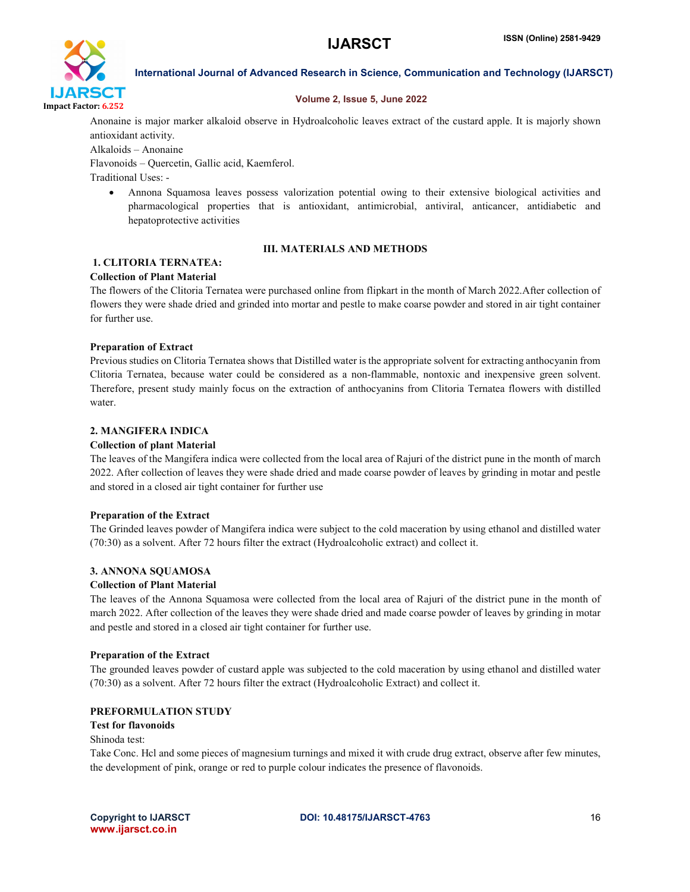

### Volume 2, Issue 5, June 2022

Anonaine is major marker alkaloid observe in Hydroalcoholic leaves extract of the custard apple. It is majorly shown antioxidant activity.

Alkaloids – Anonaine

Flavonoids – Quercetin, Gallic acid, Kaemferol.

Traditional Uses: -

 Annona Squamosa leaves possess valorization potential owing to their extensive biological activities and pharmacological properties that is antioxidant, antimicrobial, antiviral, anticancer, antidiabetic and hepatoprotective activities

# III. MATERIALS AND METHODS

# 1. CLITORIA TERNATEA:

# Collection of Plant Material

The flowers of the Clitoria Ternatea were purchased online from flipkart in the month of March 2022.After collection of flowers they were shade dried and grinded into mortar and pestle to make coarse powder and stored in air tight container for further use.

# Preparation of Extract

Previous studies on Clitoria Ternatea shows that Distilled water is the appropriate solvent for extracting anthocyanin from Clitoria Ternatea, because water could be considered as a non-flammable, nontoxic and inexpensive green solvent. Therefore, present study mainly focus on the extraction of anthocyanins from Clitoria Ternatea flowers with distilled water.

# 2. MANGIFERA INDICA

# Collection of plant Material

The leaves of the Mangifera indica were collected from the local area of Rajuri of the district pune in the month of march 2022. After collection of leaves they were shade dried and made coarse powder of leaves by grinding in motar and pestle and stored in a closed air tight container for further use

# Preparation of the Extract

The Grinded leaves powder of Mangifera indica were subject to the cold maceration by using ethanol and distilled water (70:30) as a solvent. After 72 hours filter the extract (Hydroalcoholic extract) and collect it.

# 3. ANNONA SQUAMOSA

# Collection of Plant Material

The leaves of the Annona Squamosa were collected from the local area of Rajuri of the district pune in the month of march 2022. After collection of the leaves they were shade dried and made coarse powder of leaves by grinding in motar and pestle and stored in a closed air tight container for further use.

# Preparation of the Extract

The grounded leaves powder of custard apple was subjected to the cold maceration by using ethanol and distilled water (70:30) as a solvent. After 72 hours filter the extract (Hydroalcoholic Extract) and collect it.

# PREFORMULATION STUDY

# Test for flavonoids

# Shinoda test:

Take Conc. Hcl and some pieces of magnesium turnings and mixed it with crude drug extract, observe after few minutes, the development of pink, orange or red to purple colour indicates the presence of flavonoids.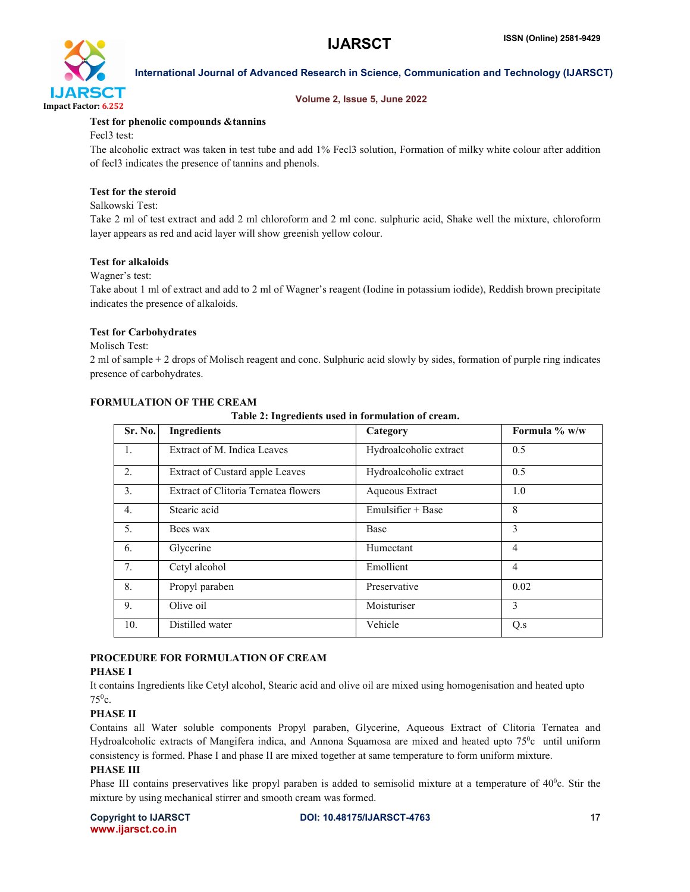

### Volume 2, Issue 5, June 2022

### Test for phenolic compounds &tannins

Fecl3 test:

The alcoholic extract was taken in test tube and add 1% Fecl3 solution, Formation of milky white colour after addition of fecl3 indicates the presence of tannins and phenols.

### Test for the steroid

Salkowski Test:

Take 2 ml of test extract and add 2 ml chloroform and 2 ml conc. sulphuric acid, Shake well the mixture, chloroform layer appears as red and acid layer will show greenish yellow colour.

#### Test for alkaloids

#### Wagner's test:

Take about 1 ml of extract and add to 2 ml of Wagner's reagent (Iodine in potassium iodide), Reddish brown precipitate indicates the presence of alkaloids.

#### Test for Carbohydrates

#### Molisch Test:

2 ml of sample + 2 drops of Molisch reagent and conc. Sulphuric acid slowly by sides, formation of purple ring indicates presence of carbohydrates.

### FORMULATION OF THE CREAM

Table 2: Ingredients used in formulation of cream.

| Sr. No.          | <b>Ingredients</b>                   | Category               | Formula $\%$ w/w |
|------------------|--------------------------------------|------------------------|------------------|
| 1.               | Extract of M. Indica Leaves          | Hydroalcoholic extract | 0.5              |
| 2.               | Extract of Custard apple Leaves      | Hydroalcoholic extract | 0.5              |
| 3.               | Extract of Clitoria Ternatea flowers | Aqueous Extract        | 1.0              |
| $\overline{4}$ . | Stearic acid                         | Emulsifier $+$ Base    | 8                |
| 5.               | Bees wax                             | Base                   | 3                |
| 6.               | Glycerine                            | Humectant              | $\overline{4}$   |
| 7.               | Cetyl alcohol                        | Emollient              | $\overline{4}$   |
| 8.               | Propyl paraben                       | Preservative           | 0.02             |
| 9.               | Olive oil                            | Moisturiser            | 3                |
| 10.              | Distilled water                      | Vehicle                | Q.s              |

# PROCEDURE FOR FORMULATION OF CREAM

# PHASE I

It contains Ingredients like Cetyl alcohol, Stearic acid and olive oil are mixed using homogenisation and heated upto  $75^0c.$ 

# PHASE II

Contains all Water soluble components Propyl paraben, Glycerine, Aqueous Extract of Clitoria Ternatea and Hydroalcoholic extracts of Mangifera indica, and Annona Squamosa are mixed and heated upto 75<sup>0</sup>c until uniform consistency is formed. Phase I and phase II are mixed together at same temperature to form uniform mixture.

#### PHASE III

Phase III contains preservatives like propyl paraben is added to semisolid mixture at a temperature of  $40^{\circ}$ c. Stir the mixture by using mechanical stirrer and smooth cream was formed.

www.ijarsct.co.in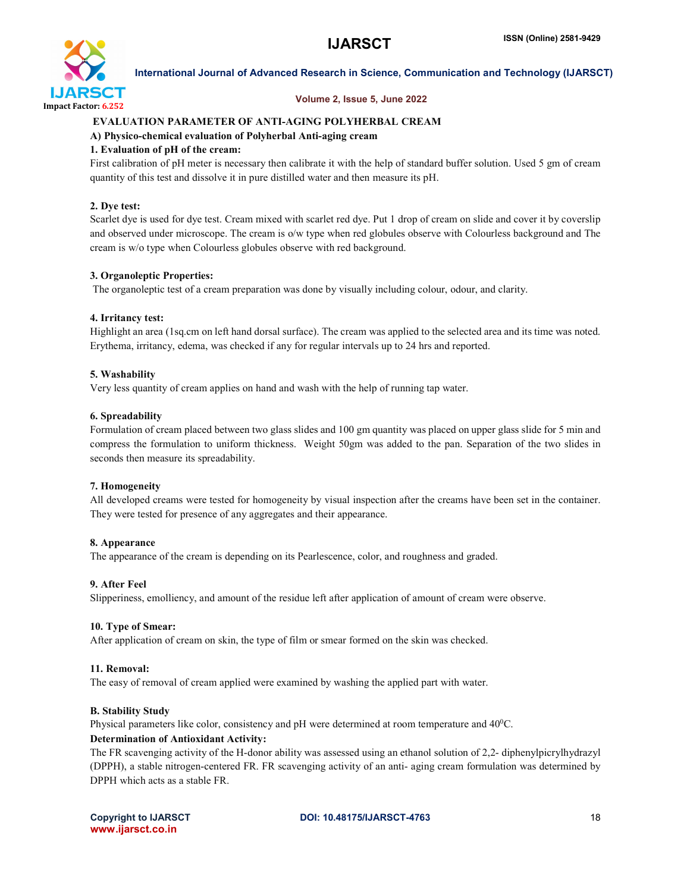

#### Volume 2, Issue 5, June 2022

### EVALUATION PARAMETER OF ANTI-AGING POLYHERBAL CREAM

#### A) Physico-chemical evaluation of Polyherbal Anti-aging cream

#### 1. Evaluation of pH of the cream:

First calibration of pH meter is necessary then calibrate it with the help of standard buffer solution. Used 5 gm of cream quantity of this test and dissolve it in pure distilled water and then measure its pH.

#### 2. Dye test:

Scarlet dye is used for dye test. Cream mixed with scarlet red dye. Put 1 drop of cream on slide and cover it by coverslip and observed under microscope. The cream is o/w type when red globules observe with Colourless background and The cream is w/o type when Colourless globules observe with red background.

### 3. Organoleptic Properties:

The organoleptic test of a cream preparation was done by visually including colour, odour, and clarity.

#### 4. Irritancy test:

Highlight an area (1sq.cm on left hand dorsal surface). The cream was applied to the selected area and its time was noted. Erythema, irritancy, edema, was checked if any for regular intervals up to 24 hrs and reported.

### 5. Washability

Very less quantity of cream applies on hand and wash with the help of running tap water.

#### 6. Spreadability

Formulation of cream placed between two glass slides and 100 gm quantity was placed on upper glass slide for 5 min and compress the formulation to uniform thickness. Weight 50gm was added to the pan. Separation of the two slides in seconds then measure its spreadability.

# 7. Homogeneity

All developed creams were tested for homogeneity by visual inspection after the creams have been set in the container. They were tested for presence of any aggregates and their appearance.

#### 8. Appearance

The appearance of the cream is depending on its Pearlescence, color, and roughness and graded.

#### 9. After Feel

Slipperiness, emolliency, and amount of the residue left after application of amount of cream were observe.

#### 10. Type of Smear:

After application of cream on skin, the type of film or smear formed on the skin was checked.

#### 11. Removal:

The easy of removal of cream applied were examined by washing the applied part with water.

#### B. Stability Study

Physical parameters like color, consistency and pH were determined at room temperature and 40°C.

# Determination of Antioxidant Activity:

The FR scavenging activity of the H-donor ability was assessed using an ethanol solution of 2,2- diphenylpicrylhydrazyl (DPPH), a stable nitrogen-centered FR. FR scavenging activity of an anti- aging cream formulation was determined by DPPH which acts as a stable FR.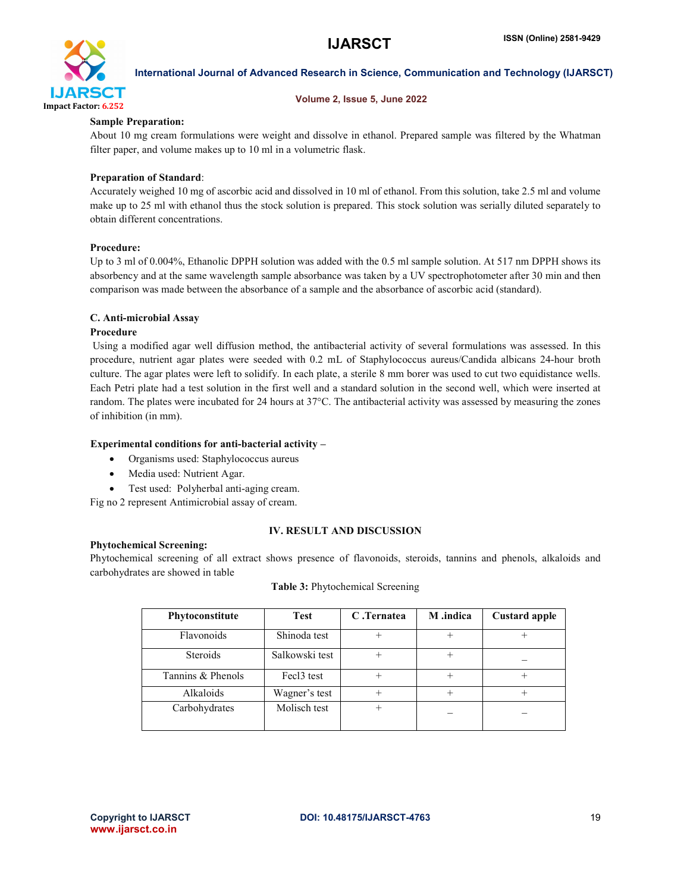

#### Volume 2, Issue 5, June 2022

#### Sample Preparation:

About 10 mg cream formulations were weight and dissolve in ethanol. Prepared sample was filtered by the Whatman filter paper, and volume makes up to 10 ml in a volumetric flask.

### Preparation of Standard:

Accurately weighed 10 mg of ascorbic acid and dissolved in 10 ml of ethanol. From this solution, take 2.5 ml and volume make up to 25 ml with ethanol thus the stock solution is prepared. This stock solution was serially diluted separately to obtain different concentrations.

### Procedure:

Up to 3 ml of 0.004%, Ethanolic DPPH solution was added with the 0.5 ml sample solution. At 517 nm DPPH shows its absorbency and at the same wavelength sample absorbance was taken by a UV spectrophotometer after 30 min and then comparison was made between the absorbance of a sample and the absorbance of ascorbic acid (standard).

#### C. Anti-microbial Assay

#### Procedure

Using a modified agar well diffusion method, the antibacterial activity of several formulations was assessed. In this procedure, nutrient agar plates were seeded with 0.2 mL of Staphylococcus aureus/Candida albicans 24-hour broth culture. The agar plates were left to solidify. In each plate, a sterile 8 mm borer was used to cut two equidistance wells. Each Petri plate had a test solution in the first well and a standard solution in the second well, which were inserted at random. The plates were incubated for 24 hours at 37°C. The antibacterial activity was assessed by measuring the zones of inhibition (in mm).

#### Experimental conditions for anti-bacterial activity –

- Organisms used: Staphylococcus aureus
- Media used: Nutrient Agar.
- Test used: Polyherbal anti-aging cream.

Fig no 2 represent Antimicrobial assay of cream.

#### Phytochemical Screening:

#### IV. RESULT AND DISCUSSION

Phytochemical screening of all extract shows presence of flavonoids, steroids, tannins and phenols, alkaloids and carbohydrates are showed in table

| Phytoconstitute   | <b>Test</b>    | C.Ternatea | M .indica | <b>Custard apple</b> |
|-------------------|----------------|------------|-----------|----------------------|
| Flavonoids        | Shinoda test   |            | ┿         |                      |
| <b>Steroids</b>   | Salkowski test |            | $\,{}^+$  |                      |
| Tannins & Phenols | Fec13 test     |            | $^+$      |                      |
| Alkaloids         | Wagner's test  | $^{+}$     | $\pm$     |                      |
| Carbohydrates     | Molisch test   | $^{+}$     |           |                      |

#### Table 3: Phytochemical Screening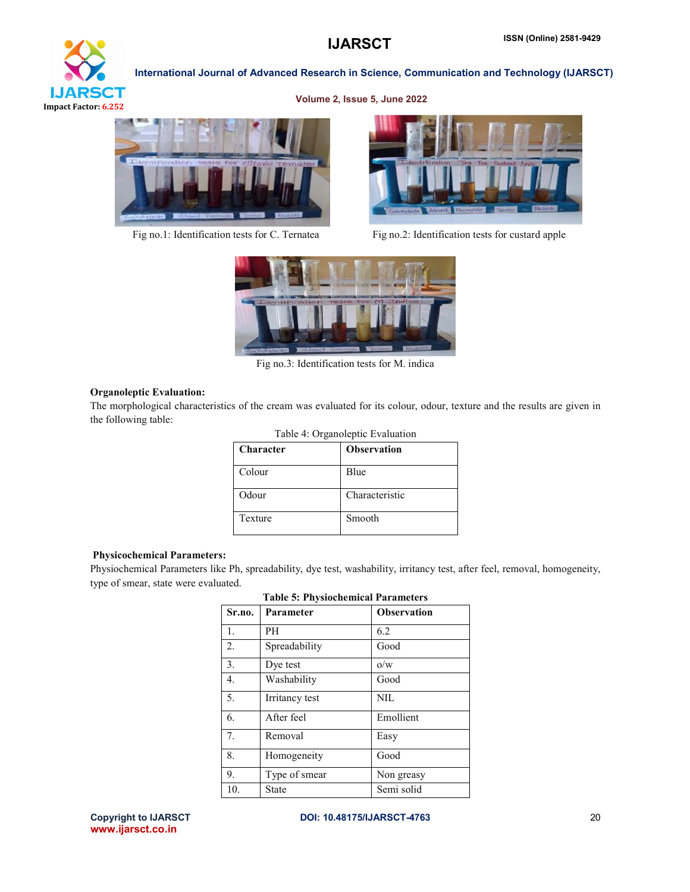

Volume 2, Issue 5, June 2022





Fig no.1: Identification tests for C. Ternatea Fig no.2: Identification tests for custard apple



Fig no.3: Identification tests for M. indica

#### Organoleptic Evaluation:

The morphological characteristics of the cream was evaluated for its colour, odour, texture and the results are given in the following table:

| Table 4: Organoleptic Evaluation |                    |  |  |  |
|----------------------------------|--------------------|--|--|--|
| Character                        | <b>Observation</b> |  |  |  |
| Colour                           | Blue               |  |  |  |
| Odour                            | Characteristic     |  |  |  |
| Texture                          | Smooth             |  |  |  |

#### Physicochemical Parameters:

Physiochemical Parameters like Ph, spreadability, dye test, washability, irritancy test, after feel, removal, homogeneity, type of smear, state were evaluated.

| Sr.no.           | таріе э: г пумоспеннсат гаганіецтв<br>Parameter | <b>Observation</b> |
|------------------|-------------------------------------------------|--------------------|
| $\mathbf{1}$ .   | PН                                              | 6.2                |
| 2.               | Spreadability                                   | Good               |
| 3.               | Dye test                                        | O/W                |
| $\overline{4}$ . | Washability                                     | Good               |
| 5.               | Irritancy test                                  | NIL                |
| 6.               | After feel                                      | Emollient          |
| 7 <sub>1</sub>   | Removal                                         | Easy               |
| 8.               | Homogeneity                                     | Good               |
| 9.               | Type of smear                                   | Non greasy         |
| 10.              | State                                           | Semi solid         |

# Table 5: Physiochemical Parameters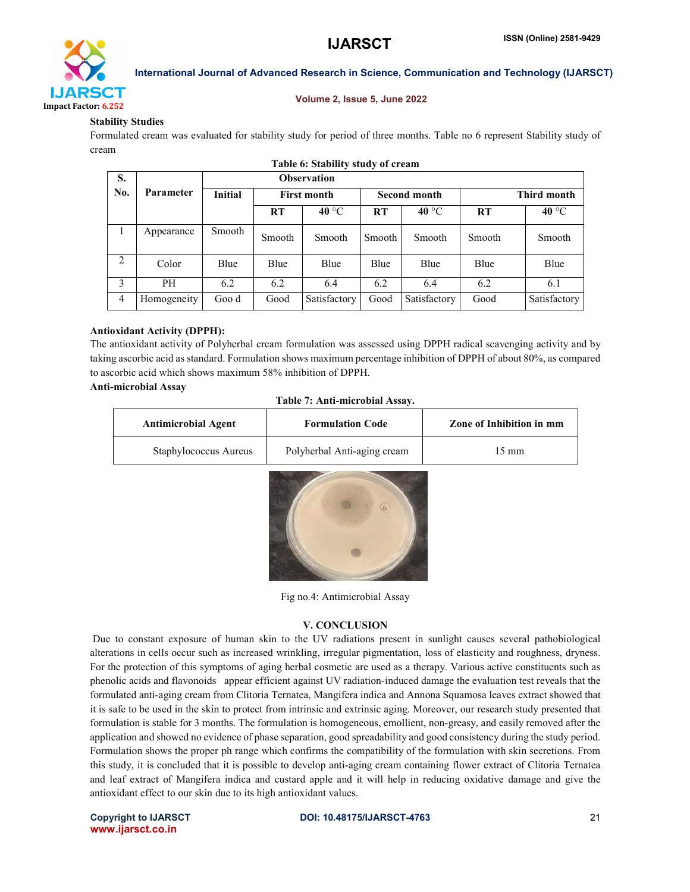

#### Volume 2, Issue 5, June 2022

#### Stability Studies

Formulated cream was evaluated for stability study for period of three months. Table no 6 represent Stability study of cream

| Table 6: Stability study of cream |                  |                    |                    |                |                     |                |             |                |
|-----------------------------------|------------------|--------------------|--------------------|----------------|---------------------|----------------|-------------|----------------|
| S.                                |                  | <b>Observation</b> |                    |                |                     |                |             |                |
| No.                               | <b>Parameter</b> | <b>Initial</b>     | <b>First month</b> |                | <b>Second month</b> |                | Third month |                |
|                                   |                  |                    | RT                 | 40 $\degree$ C | RT                  | $40^{\circ}$ C | <b>RT</b>   | $40^{\circ}$ C |
| $\mathbf{I}$                      | Appearance       | Smooth             | Smooth             | Smooth         | Smooth              | Smooth         | Smooth      | Smooth         |
| 2                                 | Color            | Blue               | Blue               | Blue           | Blue                | Blue           | Blue        | Blue           |
| 3                                 | PH               | 6.2                | 6.2                | 6.4            | 6.2                 | 6.4            | 6.2         | 6.1            |
| $\overline{4}$                    | Homogeneity      | Goo d              | Good               | Satisfactory   | Good                | Satisfactory   | Good        | Satisfactory   |

#### Antioxidant Activity (DPPH):

The antioxidant activity of Polyherbal cream formulation was assessed using DPPH radical scavenging activity and by taking ascorbic acid as standard. Formulation shows maximum percentage inhibition of DPPH of about 80%, as compared to ascorbic acid which shows maximum 58% inhibition of DPPH.

#### Anti-microbial Assay

|  |  |  |  |  | Table 7: Anti-microbial Assay. |
|--|--|--|--|--|--------------------------------|
|--|--|--|--|--|--------------------------------|

| <b>Antimicrobial Agent</b> | <b>Formulation Code</b>     | Zone of Inhibition in mm |  |
|----------------------------|-----------------------------|--------------------------|--|
| Staphylococcus Aureus      | Polyherbal Anti-aging cream | 15 mm                    |  |



Fig no.4: Antimicrobial Assay

#### V. CONCLUSION

Due to constant exposure of human skin to the UV radiations present in sunlight causes several pathobiological alterations in cells occur such as increased wrinkling, irregular pigmentation, loss of elasticity and roughness, dryness. For the protection of this symptoms of aging herbal cosmetic are used as a therapy. Various active constituents such as phenolic acids and flavonoids appear efficient against UV radiation-induced damage the evaluation test reveals that the formulated anti-aging cream from Clitoria Ternatea, Mangifera indica and Annona Squamosa leaves extract showed that it is safe to be used in the skin to protect from intrinsic and extrinsic aging. Moreover, our research study presented that formulation is stable for 3 months. The formulation is homogeneous, emollient, non-greasy, and easily removed after the application and showed no evidence of phase separation, good spreadability and good consistency during the study period. Formulation shows the proper ph range which confirms the compatibility of the formulation with skin secretions. From this study, it is concluded that it is possible to develop anti-aging cream containing flower extract of Clitoria Ternatea and leaf extract of Mangifera indica and custard apple and it will help in reducing oxidative damage and give the antioxidant effect to our skin due to its high antioxidant values.

www.ijarsct.co.in

#### Copyright to IJARSCT **DOI: 10.48175/IJARSCT-4763** 21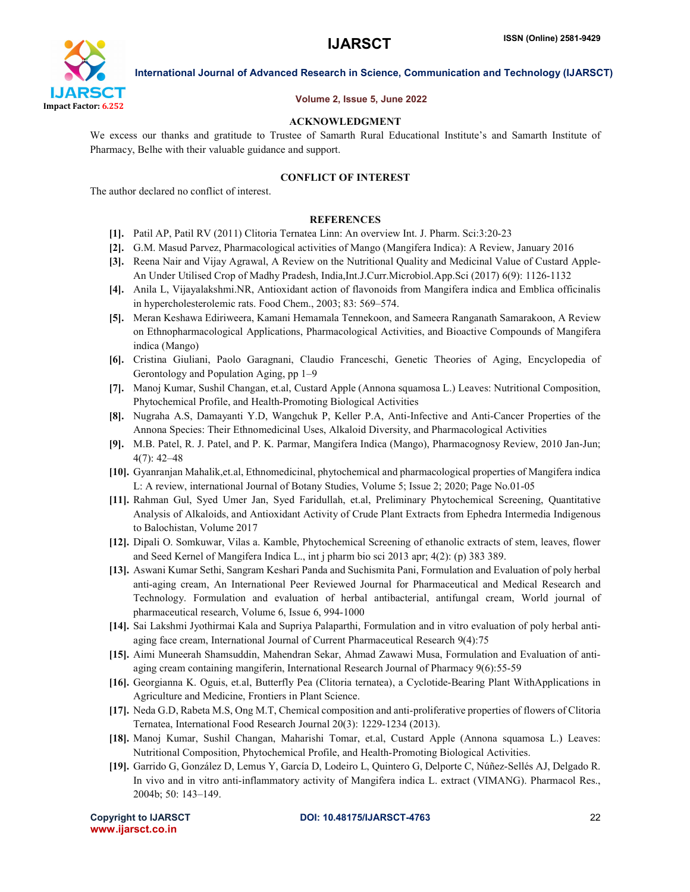

#### Volume 2, Issue 5, June 2022

#### ACKNOWLEDGMENT

We excess our thanks and gratitude to Trustee of Samarth Rural Educational Institute's and Samarth Institute of Pharmacy, Belhe with their valuable guidance and support.

#### CONFLICT OF INTEREST

The author declared no conflict of interest.

#### **REFERENCES**

- [1]. Patil AP, Patil RV (2011) Clitoria Ternatea Linn: An overview Int. J. Pharm. Sci:3:20-23
- [2]. G.M. Masud Parvez, Pharmacological activities of Mango (Mangifera Indica): A Review, January 2016
- [3]. Reena Nair and Vijay Agrawal, A Review on the Nutritional Quality and Medicinal Value of Custard Apple-An Under Utilised Crop of Madhy Pradesh, India,Int.J.Curr.Microbiol.App.Sci (2017) 6(9): 1126-1132
- [4]. Anila L, Vijayalakshmi.NR, Antioxidant action of flavonoids from Mangifera indica and Emblica officinalis in hypercholesterolemic rats. Food Chem., 2003; 83: 569–574.
- [5]. Meran Keshawa Ediriweera, Kamani Hemamala Tennekoon, and Sameera Ranganath Samarakoon, A Review on Ethnopharmacological Applications, Pharmacological Activities, and Bioactive Compounds of Mangifera indica (Mango)
- [6]. Cristina Giuliani, Paolo Garagnani, Claudio Franceschi, Genetic Theories of Aging, Encyclopedia of Gerontology and Population Aging, pp 1–9
- [7]. Manoj Kumar, Sushil Changan, et.al, Custard Apple (Annona squamosa L.) Leaves: Nutritional Composition, Phytochemical Profile, and Health-Promoting Biological Activities
- [8]. Nugraha A.S, Damayanti Y.D, Wangchuk P, Keller P.A, Anti-Infective and Anti-Cancer Properties of the Annona Species: Their Ethnomedicinal Uses, Alkaloid Diversity, and Pharmacological Activities
- [9]. M.B. Patel, R. J. Patel, and P. K. Parmar, Mangifera Indica (Mango), Pharmacognosy Review, 2010 Jan-Jun; 4(7): 42–48
- [10]. Gyanranjan Mahalik,et.al, Ethnomedicinal, phytochemical and pharmacological properties of Mangifera indica L: A review, international Journal of Botany Studies, Volume 5; Issue 2; 2020; Page No.01-05
- [11]. Rahman Gul, Syed Umer Jan, Syed Faridullah, et.al, Preliminary Phytochemical Screening, Quantitative Analysis of Alkaloids, and Antioxidant Activity of Crude Plant Extracts from Ephedra Intermedia Indigenous to Balochistan, Volume 2017
- [12]. Dipali O. Somkuwar, Vilas a. Kamble, Phytochemical Screening of ethanolic extracts of stem, leaves, flower and Seed Kernel of Mangifera Indica L., int j pharm bio sci 2013 apr; 4(2): (p) 383 389.
- [13]. Aswani Kumar Sethi, Sangram Keshari Panda and Suchismita Pani, Formulation and Evaluation of poly herbal anti-aging cream, An International Peer Reviewed Journal for Pharmaceutical and Medical Research and Technology. Formulation and evaluation of herbal antibacterial, antifungal cream, World journal of pharmaceutical research, Volume 6, Issue 6, 994-1000
- [14]. Sai Lakshmi Jyothirmai Kala and Supriya Palaparthi, Formulation and in vitro evaluation of poly herbal antiaging face cream, International Journal of Current Pharmaceutical Research 9(4):75
- [15]. Aimi Muneerah Shamsuddin, Mahendran Sekar, Ahmad Zawawi Musa, Formulation and Evaluation of antiaging cream containing mangiferin, International Research Journal of Pharmacy 9(6):55-59
- [16]. Georgianna K. Oguis, et.al, Butterfly Pea (Clitoria ternatea), a Cyclotide-Bearing Plant WithApplications in Agriculture and Medicine, Frontiers in Plant Science.
- [17]. Neda G.D, Rabeta M.S, Ong M.T, Chemical composition and anti-proliferative properties of flowers of Clitoria Ternatea, International Food Research Journal 20(3): 1229-1234 (2013).
- [18]. Manoj Kumar, Sushil Changan, Maharishi Tomar, et.al, Custard Apple (Annona squamosa L.) Leaves: Nutritional Composition, Phytochemical Profile, and Health-Promoting Biological Activities.
- [19]. Garrido G, González D, Lemus Y, García D, Lodeiro L, Quintero G, Delporte C, Núñez-Sellés AJ, Delgado R. In vivo and in vitro anti-inflammatory activity of Mangifera indica L. extract (VIMANG). Pharmacol Res., 2004b; 50: 143–149.